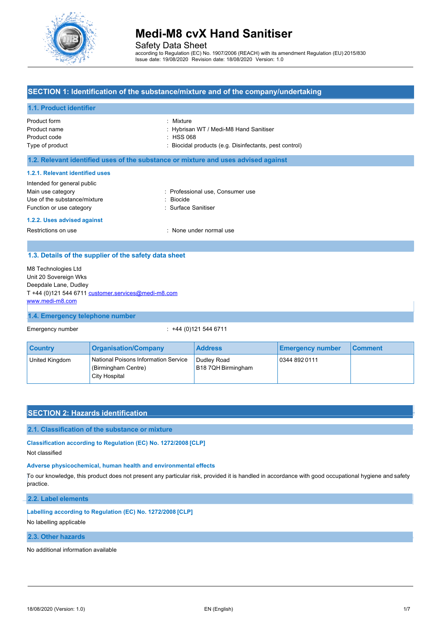

Safety Data Sheet

according to Regulation (EC) No. 1907/2006 (REACH) with its amendment Regulation (EU) 2015/830 Issue date: 19/08/2020 Revision date: 18/08/2020 Version: 1.0

# **SECTION 1: Identification of the substance/mixture and of the company/undertaking**

### **1.1. Product identifier**

| Product form    |  |
|-----------------|--|
| Product name    |  |
| Product code    |  |
| Type of product |  |

: Mixture

: Hybrisan WT / Medi-M8 Hand Sanitiser

 $:$  HSS 068

: Biocidal products (e.g. Disinfectants, pest control)

#### **1.2. Relevant identified uses of the substance or mixture and uses advised against**

#### **1.2.1. Relevant identified uses**

| Intended for general public  |                                  |
|------------------------------|----------------------------------|
| Main use category            | : Professional use, Consumer use |
| Use of the substance/mixture | : Biocide                        |
| Function or use category     | : Surface Sanitiser              |
|                              |                                  |

#### **1.2.2. Uses advised against**

Restrictions on use **interest and a Restrictions** on use

### **1.3. Details of the supplier of the safety data sheet**

M8 Technologies Ltd Unit 20 Sovereign Wks Deepdale Lane, Dudley T +44 (0)121 544 6711 customer.services@medi-m8.com www.medi-m8.com

#### **1.4. Emergency telephone number**

Emergency number : +44 (0)121 544 6711

| <b>Country</b> | <b>Organisation/Company</b>                                                  | <b>Address</b>                    | <b>Emergency number</b> | l Comment |
|----------------|------------------------------------------------------------------------------|-----------------------------------|-------------------------|-----------|
| United Kingdom | National Poisons Information Service<br>(Birmingham Centre)<br>City Hospital | Dudley Road<br>B18 7QH Birmingham | 0344 892 0111           |           |

### **SECTION 2: Hazards identification**

#### **2.1. Classification of the substance or mixture**

#### **Classification according to Regulation (EC) No. 1272/2008 [CLP]**

Not classified

# **Adverse physicochemical, human health and environmental effects**

To our knowledge, this product does not present any particular risk, provided it is handled in accordance with good occupational hygiene and safety practice.

# **2.2. Label elements**

# **Labelling according to Regulation (EC) No. 1272/2008 [CLP]**

No labelling applicable

# **2.3. Other hazards**

No additional information available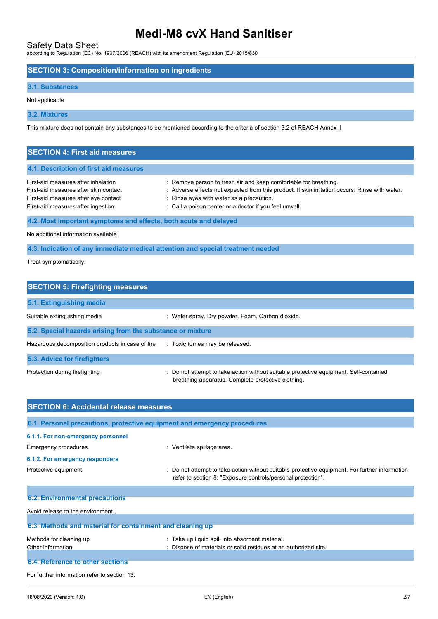Safety Data Sheet according to Regulation (EC) No. 1907/2006 (REACH) with its amendment Regulation (EU) 2015/830

## **SECTION 3: Composition/information on ingredients**

### **3.1. Substances**

Not applicable

**3.2. Mixtures**

This mixture does not contain any substances to be mentioned according to the criteria of section 3.2 of REACH Annex II

| <b>SECTION 4: First aid measures</b>                                                                                                                       |                                                                                                                                                                                                                                                                          |
|------------------------------------------------------------------------------------------------------------------------------------------------------------|--------------------------------------------------------------------------------------------------------------------------------------------------------------------------------------------------------------------------------------------------------------------------|
| 4.1. Description of first aid measures                                                                                                                     |                                                                                                                                                                                                                                                                          |
| First-aid measures after inhalation<br>First-aid measures after skin contact<br>First-aid measures after eye contact<br>First-aid measures after ingestion | : Remove person to fresh air and keep comfortable for breathing.<br>: Adverse effects not expected from this product. If skin irritation occurs: Rinse with water.<br>: Rinse eyes with water as a precaution.<br>: Call a poison center or a doctor if you feel unwell. |
| 4.2. Most important symptoms and effects, both acute and delayed                                                                                           |                                                                                                                                                                                                                                                                          |

No additional information available

**4.3. Indication of any immediate medical attention and special treatment needed**

Treat symptomatically.

| <b>SECTION 5: Firefighting measures</b>                    |                                                                                                                                             |  |  |  |
|------------------------------------------------------------|---------------------------------------------------------------------------------------------------------------------------------------------|--|--|--|
| 5.1. Extinguishing media                                   |                                                                                                                                             |  |  |  |
| Suitable extinguishing media                               | : Water spray. Dry powder. Foam. Carbon dioxide.                                                                                            |  |  |  |
| 5.2. Special hazards arising from the substance or mixture |                                                                                                                                             |  |  |  |
| Hazardous decomposition products in case of fire           | : Toxic fumes may be released.                                                                                                              |  |  |  |
| 5.3. Advice for firefighters                               |                                                                                                                                             |  |  |  |
| Protection during firefighting                             | : Do not attempt to take action without suitable protective equipment. Self-contained<br>breathing apparatus. Complete protective clothing. |  |  |  |

| <b>SECTION 6: Accidental release measures</b>                            |                                                                                                                                                                |  |  |
|--------------------------------------------------------------------------|----------------------------------------------------------------------------------------------------------------------------------------------------------------|--|--|
| 6.1. Personal precautions, protective equipment and emergency procedures |                                                                                                                                                                |  |  |
| 6.1.1. For non-emergency personnel<br>Emergency procedures               | : Ventilate spillage area.                                                                                                                                     |  |  |
| 6.1.2. For emergency responders                                          |                                                                                                                                                                |  |  |
| Protective equipment                                                     | : Do not attempt to take action without suitable protective equipment. For further information<br>refer to section 8: "Exposure controls/personal protection". |  |  |
|                                                                          |                                                                                                                                                                |  |  |
| <b>6.2. Environmental precautions</b>                                    |                                                                                                                                                                |  |  |
| Avoid release to the environment.                                        |                                                                                                                                                                |  |  |
| 6.3. Methods and material for containment and cleaning up                |                                                                                                                                                                |  |  |
| Methods for cleaning up                                                  | : Take up liquid spill into absorbent material.                                                                                                                |  |  |
| Other information                                                        | : Dispose of materials or solid residues at an authorized site.                                                                                                |  |  |
| <b>6.4. Reference to other sections</b>                                  |                                                                                                                                                                |  |  |

For further information refer to section 13.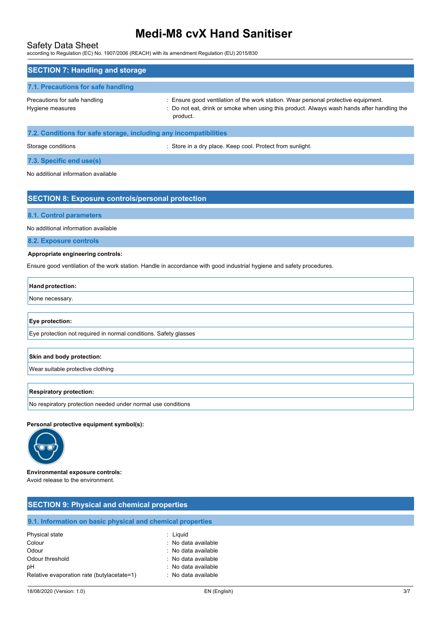## Safety Data Sheet

according to Regulation (EC) No. 1907/2006 (REACH) with its amendment Regulation (EU) 2015/830

| <b>SECTION 7: Handling and storage</b>                            |                                                                                                                                                                                              |  |  |
|-------------------------------------------------------------------|----------------------------------------------------------------------------------------------------------------------------------------------------------------------------------------------|--|--|
| 7.1. Precautions for safe handling                                |                                                                                                                                                                                              |  |  |
| Precautions for safe handling<br>Hygiene measures                 | : Ensure good ventilation of the work station. Wear personal protective equipment.<br>: Do not eat, drink or smoke when using this product. Always wash hands after handling the<br>product. |  |  |
| 7.2. Conditions for safe storage, including any incompatibilities |                                                                                                                                                                                              |  |  |

Storage conditions **Storage conditions** : Store in a dry place. Keep cool. Protect from sunlight.

**7.3. Specific end use(s)**

No additional information available

### **SECTION 8: Exposure controls/personal protection**

#### **8.1. Control parameters**

No additional information available

**8.2. Exposure controls**

#### **Appropriate engineering controls:**

Ensure good ventilation of the work station. Handle in accordance with good industrial hygiene and safety procedures.

#### **Hand protection:**

None necessary.

#### **Eye protection:**

Eye protection not required in normal conditions. Safety glasses

#### **Skin and body protection:**

Wear suitable protective clothing

#### **Respiratory protection:**

No respiratory protection needed under normal use conditions

#### **Personal protective equipment symbol(s):**



#### **Environmental exposure controls:**

Avoid release to the environment.

| <b>SECTION 9: Physical and chemical properties</b>         |                     |  |  |
|------------------------------------------------------------|---------------------|--|--|
| 9.1. Information on basic physical and chemical properties |                     |  |  |
|                                                            |                     |  |  |
| Physical state                                             | : Liguid            |  |  |
| Colour                                                     | : No data available |  |  |
| Odour                                                      | : No data available |  |  |
| Odour threshold                                            | : No data available |  |  |
| рH                                                         | : No data available |  |  |
| Relative evaporation rate (butylacetate=1)                 | : No data available |  |  |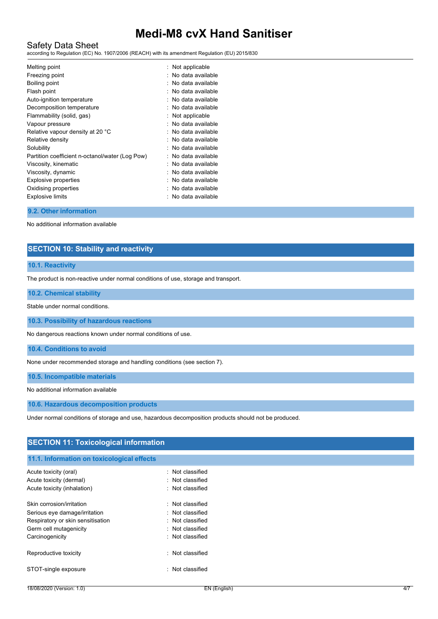# Safety Data Sheet

according to Regulation (EC) No. 1907/2006 (REACH) with its amendment Regulation (EU) 2015/830

| Melting point<br>Freezing point<br>Boiling point<br>Flash point | : Not applicable<br>: No data available<br>: No data available<br>: No data available |
|-----------------------------------------------------------------|---------------------------------------------------------------------------------------|
| Auto-ignition temperature                                       | : No data available                                                                   |
| Decomposition temperature                                       | : No data available                                                                   |
| Flammability (solid, gas)                                       | : Not applicable                                                                      |
| Vapour pressure                                                 | : No data available                                                                   |
| Relative vapour density at 20 °C                                | : No data available                                                                   |
| Relative density                                                | : No data available                                                                   |
| Solubility                                                      | : No data available                                                                   |
| Partition coefficient n-octanol/water (Log Pow)                 | : No data available                                                                   |
| Viscosity, kinematic                                            | : No data available                                                                   |
| Viscosity, dynamic                                              | : No data available                                                                   |
| <b>Explosive properties</b>                                     | : No data available                                                                   |
| Oxidising properties                                            | : No data available                                                                   |
| <b>Explosive limits</b>                                         | : No data available                                                                   |

#### **9.2. Other information**

No additional information available

# **SECTION 10: Stability and reactivity**

#### **10.1. Reactivity**

The product is non-reactive under normal conditions of use, storage and transport.

#### **10.2. Chemical stability**

Stable under normal conditions.

**10.3. Possibility of hazardous reactions**

No dangerous reactions known under normal conditions of use.

**10.4. Conditions to avoid**

None under recommended storage and handling conditions (see section 7).

**10.5. Incompatible materials**

No additional information available

#### **10.6. Hazardous decomposition products**

Under normal conditions of storage and use, hazardous decomposition products should not be produced.

| <b>SECTION 11: Toxicological information</b> |                  |  |
|----------------------------------------------|------------------|--|
| 11.1. Information on toxicological effects   |                  |  |
| Acute toxicity (oral)                        | : Not classified |  |
| Acute toxicity (dermal)                      | : Not classified |  |
| Acute toxicity (inhalation)                  | : Not classified |  |
| Skin corrosion/irritation                    | : Not classified |  |
| Serious eye damage/irritation                | : Not classified |  |
| Respiratory or skin sensitisation            | : Not classified |  |
| Germ cell mutagenicity                       | : Not classified |  |
| Carcinogenicity                              | : Not classified |  |
| Reproductive toxicity                        | : Not classified |  |
| STOT-single exposure                         | : Not classified |  |
|                                              |                  |  |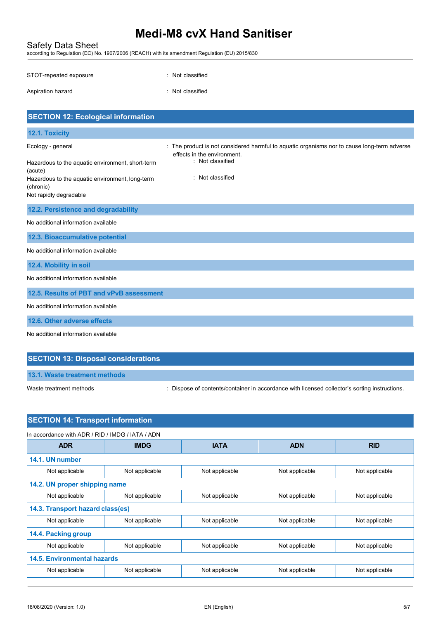Safety Data Sheet according to Regulation (EC) No. 1907/2006 (REACH) with its amendment Regulation (EU) 2015/830

| STOT-repeated exposure | : Not classified |
|------------------------|------------------|
| Aspiration hazard      | : Not classified |

| <b>SECTION 12: Ecological information</b>                                                                                                                                  |                                                                                                                                                                    |  |  |  |
|----------------------------------------------------------------------------------------------------------------------------------------------------------------------------|--------------------------------------------------------------------------------------------------------------------------------------------------------------------|--|--|--|
| 12.1. Toxicity                                                                                                                                                             |                                                                                                                                                                    |  |  |  |
| Ecology - general<br>Hazardous to the aquatic environment, short-term<br>(acute)<br>Hazardous to the aquatic environment, long-term<br>(chronic)<br>Not rapidly degradable | : The product is not considered harmful to aquatic organisms nor to cause long-term adverse<br>effects in the environment.<br>: Not classified<br>: Not classified |  |  |  |
| 12.2. Persistence and degradability                                                                                                                                        |                                                                                                                                                                    |  |  |  |
| No additional information available                                                                                                                                        |                                                                                                                                                                    |  |  |  |
| 12.3. Bioaccumulative potential                                                                                                                                            |                                                                                                                                                                    |  |  |  |
| No additional information available                                                                                                                                        |                                                                                                                                                                    |  |  |  |
| 12.4. Mobility in soil                                                                                                                                                     |                                                                                                                                                                    |  |  |  |
| No additional information available                                                                                                                                        |                                                                                                                                                                    |  |  |  |
| 12.5. Results of PBT and vPvB assessment                                                                                                                                   |                                                                                                                                                                    |  |  |  |
| No additional information available                                                                                                                                        |                                                                                                                                                                    |  |  |  |
| 12.6. Other adverse effects                                                                                                                                                |                                                                                                                                                                    |  |  |  |
| No additional information available                                                                                                                                        |                                                                                                                                                                    |  |  |  |

# **SECTION 13: Disposal considerations**

| 13.1. Waste treatment methods |
|-------------------------------|
|                               |

Waste treatment methods : Dispose of contents/container in accordance with licensed collector's sorting instructions.

# **SECTION 14: Transport information**

|                                  |                | <b>IATA</b>    |                | <b>RID</b>     |
|----------------------------------|----------------|----------------|----------------|----------------|
| <b>ADR</b>                       | <b>IMDG</b>    |                | <b>ADN</b>     |                |
| 14.1. UN number                  |                |                |                |                |
| Not applicable                   | Not applicable | Not applicable | Not applicable | Not applicable |
| 14.2. UN proper shipping name    |                |                |                |                |
| Not applicable                   | Not applicable | Not applicable | Not applicable | Not applicable |
| 14.3. Transport hazard class(es) |                |                |                |                |
| Not applicable                   | Not applicable | Not applicable | Not applicable | Not applicable |
| 14.4. Packing group              |                |                |                |                |
| Not applicable                   | Not applicable | Not applicable | Not applicable | Not applicable |
| 14.5. Environmental hazards      |                |                |                |                |
| Not applicable                   | Not applicable | Not applicable | Not applicable | Not applicable |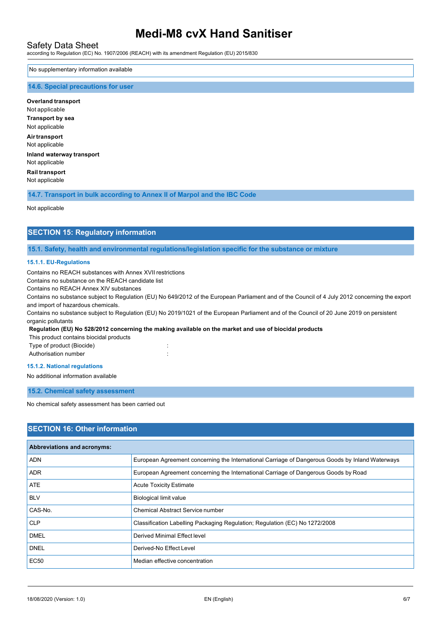### Safety Data Sheet

according to Regulation (EC) No. 1907/2006 (REACH) with its amendment Regulation (EU) 2015/830

#### No supplementary information available

#### **14.6. Special precautions for user**

**Overland transport** Not applicable **Transport by sea** Not applicable **Airtransport** Not applicable **Inland waterway transport** Not applicable **Rail transport** Not applicable

**14.7. Transport in bulk according to Annex II of Marpol and the IBC Code**

#### Not applicable

## **SECTION 15: Regulatory information**

**15.1. Safety, health and environmental regulations/legislation specific for the substance or mixture**

#### **15.1.1. EU-Regulations**

Contains no REACH substances with Annex XVII restrictions

Contains no substance on the REACH candidate list

Contains no REACH Annex XIV substances

Contains no substance subject to Regulation (EU) No 649/2012 of the European Parliament and of the Council of 4 July 2012 concerning the export and import of hazardous chemicals.

Contains no substance subject to Regulation (EU) No 2019/1021 of the European Parliament and of the Council of 20 June 2019 on persistent organic pollutants

#### **Regulation (EU) No 528/2012 concerning the making available on the market and use of biocidal products**

| This product contains biocidal products |         |
|-----------------------------------------|---------|
| Type of product (Biocide)               | $\cdot$ |
| Authorisation number                    |         |

#### **15.1.2. National regulations**

No additional information available

**15.2. Chemical safety assessment**

No chemical safety assessment has been carried out

## **SECTION 16: Other information**

| <b>Abbreviations and acronyms:</b> |                                                                                                 |  |
|------------------------------------|-------------------------------------------------------------------------------------------------|--|
| <b>ADN</b>                         | European Agreement concerning the International Carriage of Dangerous Goods by Inland Waterways |  |
| <b>ADR</b>                         | European Agreement concerning the International Carriage of Dangerous Goods by Road             |  |
| ATE                                | <b>Acute Toxicity Estimate</b>                                                                  |  |
| <b>BLV</b>                         | <b>Biological limit value</b>                                                                   |  |
| CAS-No.                            | Chemical Abstract Service number                                                                |  |
| <b>CLP</b>                         | Classification Labelling Packaging Regulation; Regulation (EC) No 1272/2008                     |  |
| <b>DMEL</b>                        | Derived Minimal Effect level                                                                    |  |
| <b>DNEL</b>                        | Derived-No Effect Level                                                                         |  |
| <b>EC50</b>                        | Median effective concentration                                                                  |  |